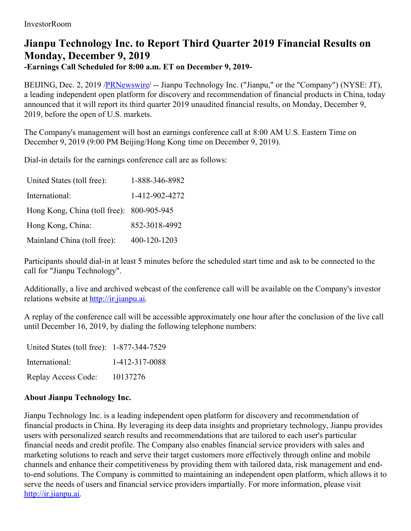## **Jianpu Technology Inc. to Report Third Quarter 2019 Financial Results on Monday, December 9, 2019**

**-Earnings Call Scheduled for 8:00 a.m. ET on December 9, 2019-**

BEIJING, Dec. 2, 2019 /**PRNewswire/** -- Jianpu Technology Inc. ("Jianpu," or the "Company") (NYSE: JT), a leading independent open platform for discovery and recommendation of financial products in China, today announced that it will report its third quarter 2019 unaudited financial results, on Monday, December 9, 2019, before the open of U.S. markets.

The Company's management will host an earnings conference call at 8:00 AM U.S. Eastern Time on December 9, 2019 (9:00 PM Beijing/Hong Kong time on December 9, 2019).

Dial-in details for the earnings conference call are as follows:

| United States (toll free):                | 1-888-346-8982 |
|-------------------------------------------|----------------|
| International:                            | 1-412-902-4272 |
| Hong Kong, China (toll free): 800-905-945 |                |
| Hong Kong, China:                         | 852-3018-4992  |
| Mainland China (toll free):               | 400-120-1203   |

Participants should dial-in at least 5 minutes before the scheduled start time and ask to be connected to the call for "Jianpu Technology".

Additionally, a live and archived webcast of the conference call will be available on the Company's investor relations website at [http://ir.jianpu.ai](http://ir.jianpu.ai/).

A replay of the conference call will be accessible approximately one hour after the conclusion of the live call until December 16, 2019, by dialing the following telephone numbers:

| United States (toll free): 1-877-344-7529 |                |
|-------------------------------------------|----------------|
| International:                            | 1-412-317-0088 |
| Replay Access Code:                       | 10137276       |

## **About Jianpu Technology Inc.**

Jianpu Technology Inc. is a leading independent open platform for discovery and recommendation of financial products in China. By leveraging its deep data insights and proprietary technology, Jianpu provides users with personalized search results and recommendations that are tailored to each user's particular financial needs and credit profile. The Company also enables financial service providers with sales and marketing solutions to reach and serve their target customers more effectively through online and mobile channels and enhance their competitiveness by providing them with tailored data, risk management and endto-end solutions. The Company is committed to maintaining an independent open platform, which allows it to serve the needs of users and financial service providers impartially. For more information, please visit [http://ir.jianpu.ai](http://ir.jianpu.ai/).